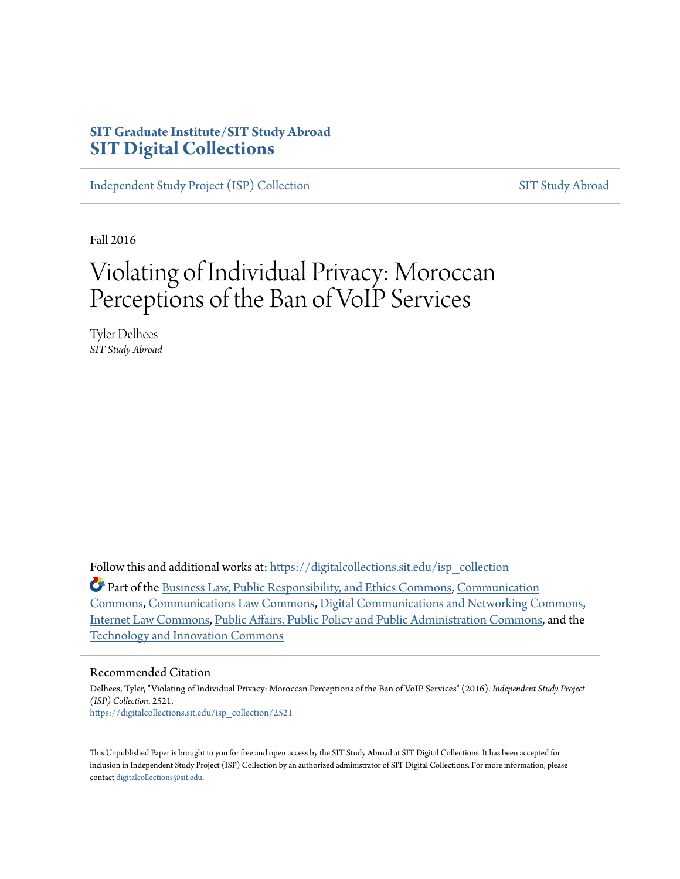# **SIT Graduate Institute/SIT Study Abroad [SIT Digital Collections](https://digitalcollections.sit.edu?utm_source=digitalcollections.sit.edu%2Fisp_collection%2F2521&utm_medium=PDF&utm_campaign=PDFCoverPages)**

[Independent Study Project \(ISP\) Collection](https://digitalcollections.sit.edu/isp_collection?utm_source=digitalcollections.sit.edu%2Fisp_collection%2F2521&utm_medium=PDF&utm_campaign=PDFCoverPages) [SIT Study Abroad](https://digitalcollections.sit.edu/study_abroad?utm_source=digitalcollections.sit.edu%2Fisp_collection%2F2521&utm_medium=PDF&utm_campaign=PDFCoverPages)

Fall 2016

# Violating of Individual Privacy: Moroccan Perceptions of the Ban of VoIP Services

Tyler Delhees *SIT Study Abroad*

Follow this and additional works at: [https://digitalcollections.sit.edu/isp\\_collection](https://digitalcollections.sit.edu/isp_collection?utm_source=digitalcollections.sit.edu%2Fisp_collection%2F2521&utm_medium=PDF&utm_campaign=PDFCoverPages)

Part of the [Business Law, Public Responsibility, and Ethics Commons,](http://network.bepress.com/hgg/discipline/628?utm_source=digitalcollections.sit.edu%2Fisp_collection%2F2521&utm_medium=PDF&utm_campaign=PDFCoverPages) [Communication](http://network.bepress.com/hgg/discipline/325?utm_source=digitalcollections.sit.edu%2Fisp_collection%2F2521&utm_medium=PDF&utm_campaign=PDFCoverPages) [Commons,](http://network.bepress.com/hgg/discipline/325?utm_source=digitalcollections.sit.edu%2Fisp_collection%2F2521&utm_medium=PDF&utm_campaign=PDFCoverPages) [Communications Law Commons](http://network.bepress.com/hgg/discipline/587?utm_source=digitalcollections.sit.edu%2Fisp_collection%2F2521&utm_medium=PDF&utm_campaign=PDFCoverPages), [Digital Communications and Networking Commons](http://network.bepress.com/hgg/discipline/262?utm_source=digitalcollections.sit.edu%2Fisp_collection%2F2521&utm_medium=PDF&utm_campaign=PDFCoverPages), [Internet Law Commons,](http://network.bepress.com/hgg/discipline/892?utm_source=digitalcollections.sit.edu%2Fisp_collection%2F2521&utm_medium=PDF&utm_campaign=PDFCoverPages) [Public Affairs, Public Policy and Public Administration Commons](http://network.bepress.com/hgg/discipline/393?utm_source=digitalcollections.sit.edu%2Fisp_collection%2F2521&utm_medium=PDF&utm_campaign=PDFCoverPages), and the [Technology and Innovation Commons](http://network.bepress.com/hgg/discipline/644?utm_source=digitalcollections.sit.edu%2Fisp_collection%2F2521&utm_medium=PDF&utm_campaign=PDFCoverPages)

#### Recommended Citation

Delhees, Tyler, "Violating of Individual Privacy: Moroccan Perceptions of the Ban of VoIP Services" (2016). *Independent Study Project (ISP) Collection*. 2521. [https://digitalcollections.sit.edu/isp\\_collection/2521](https://digitalcollections.sit.edu/isp_collection/2521?utm_source=digitalcollections.sit.edu%2Fisp_collection%2F2521&utm_medium=PDF&utm_campaign=PDFCoverPages)

This Unpublished Paper is brought to you for free and open access by the SIT Study Abroad at SIT Digital Collections. It has been accepted for inclusion in Independent Study Project (ISP) Collection by an authorized administrator of SIT Digital Collections. For more information, please contact [digitalcollections@sit.edu](mailto:digitalcollections@sit.edu).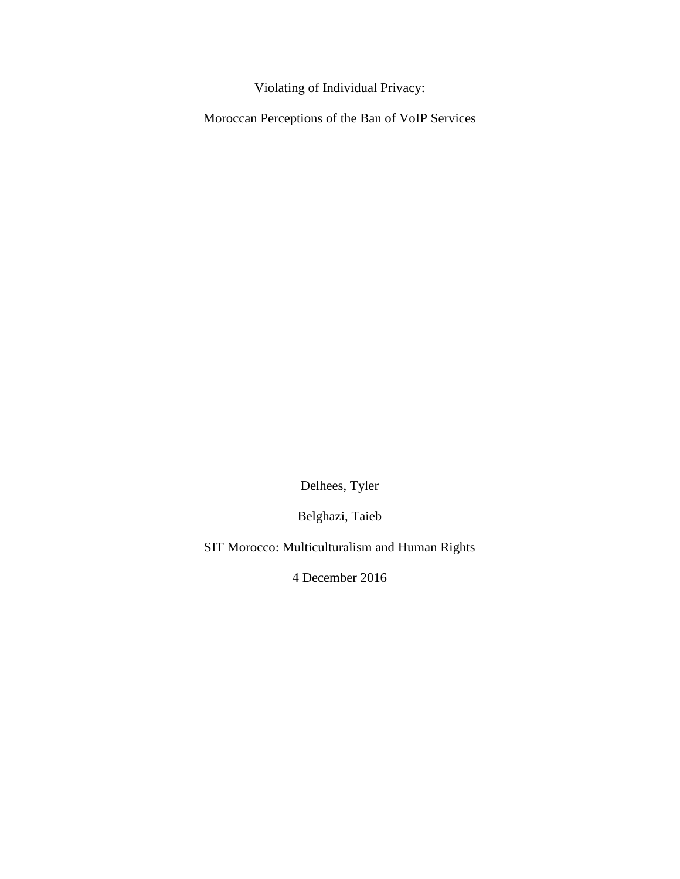Violating of Individual Privacy:

Moroccan Perceptions of the Ban of VoIP Services

Delhees, Tyler

Belghazi, Taieb

SIT Morocco: Multiculturalism and Human Rights

4 December 2016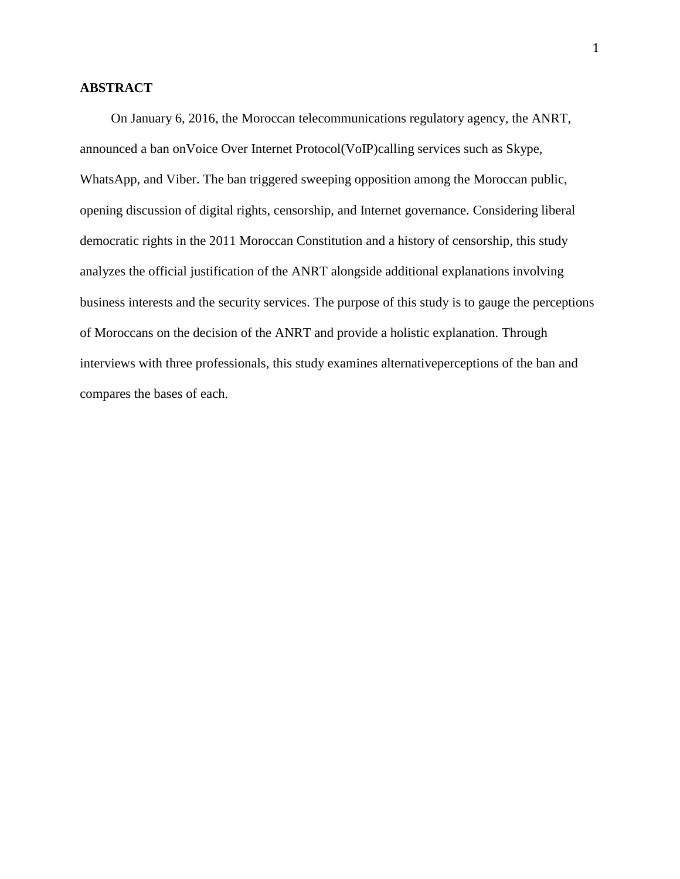## **ABSTRACT**

On January 6, 2016, the Moroccan telecommunications regulatory agency, the ANRT, announced a ban onVoice Over Internet Protocol(VoIP)calling services such as Skype, WhatsApp, and Viber. The ban triggered sweeping opposition among the Moroccan public, opening discussion of digital rights, censorship, and Internet governance. Considering liberal democratic rights in the 2011 Moroccan Constitution and a history of censorship, this study analyzes the official justification of the ANRT alongside additional explanations involving business interests and the security services. The purpose of this study is to gauge the perceptions of Moroccans on the decision of the ANRT and provide a holistic explanation. Through interviews with three professionals, this study examines alternativeperceptions of the ban and compares the bases of each.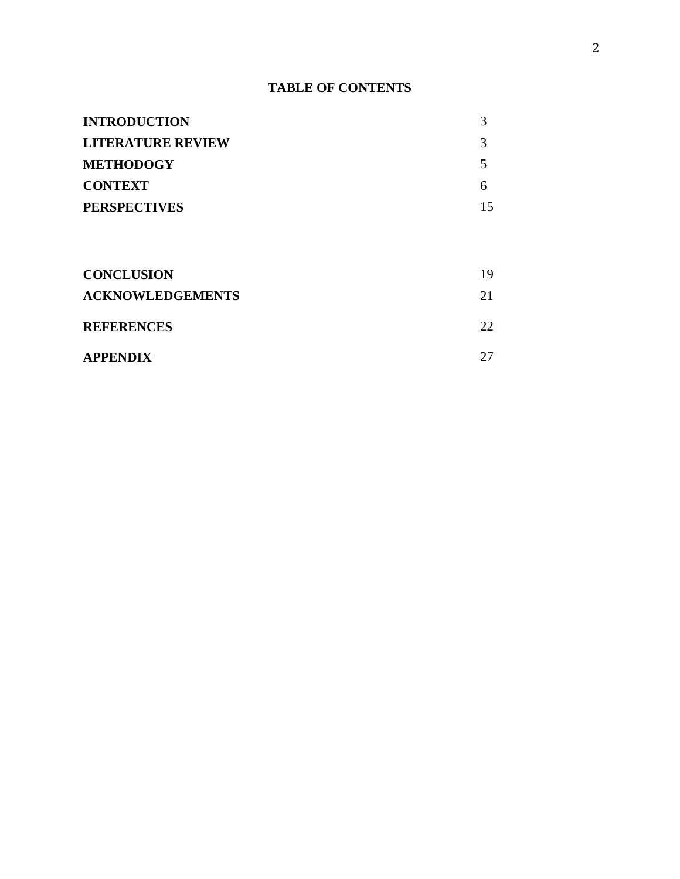# **TABLE OF CONTENTS**

| <b>INTRODUCTION</b>      |    |
|--------------------------|----|
| <b>LITERATURE REVIEW</b> |    |
| <b>METHODOGY</b>         |    |
| <b>CONTEXT</b>           |    |
| <b>PERSPECTIVES</b>      | 15 |
|                          |    |

| <b>CONCLUSION</b>       | 19 |
|-------------------------|----|
| <b>ACKNOWLEDGEMENTS</b> | 21 |
| <b>REFERENCES</b>       | 22 |
| <b>APPENDIX</b>         |    |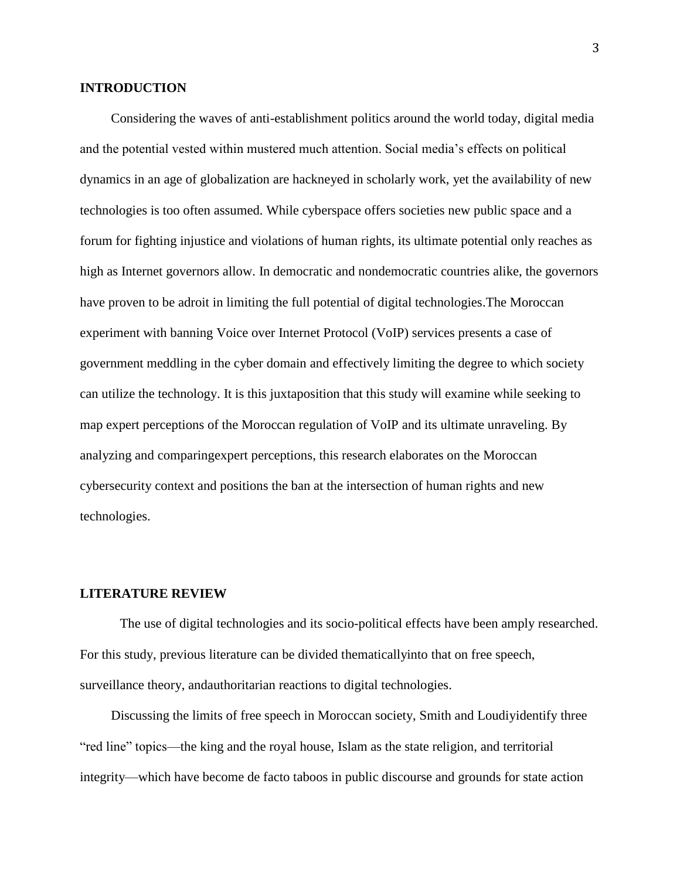### **INTRODUCTION**

Considering the waves of anti-establishment politics around the world today, digital media and the potential vested within mustered much attention. Social media's effects on political dynamics in an age of globalization are hackneyed in scholarly work, yet the availability of new technologies is too often assumed. While cyberspace offers societies new public space and a forum for fighting injustice and violations of human rights, its ultimate potential only reaches as high as Internet governors allow. In democratic and nondemocratic countries alike, the governors have proven to be adroit in limiting the full potential of digital technologies.The Moroccan experiment with banning Voice over Internet Protocol (VoIP) services presents a case of government meddling in the cyber domain and effectively limiting the degree to which society can utilize the technology. It is this juxtaposition that this study will examine while seeking to map expert perceptions of the Moroccan regulation of VoIP and its ultimate unraveling. By analyzing and comparingexpert perceptions, this research elaborates on the Moroccan cybersecurity context and positions the ban at the intersection of human rights and new technologies.

## **LITERATURE REVIEW**

The use of digital technologies and its socio-political effects have been amply researched. For this study, previous literature can be divided thematicallyinto that on free speech, surveillance theory, andauthoritarian reactions to digital technologies.

Discussing the limits of free speech in Moroccan society, Smith and Loudiyidentify three "red line" topics—the king and the royal house, Islam as the state religion, and territorial integrity—which have become de facto taboos in public discourse and grounds for state action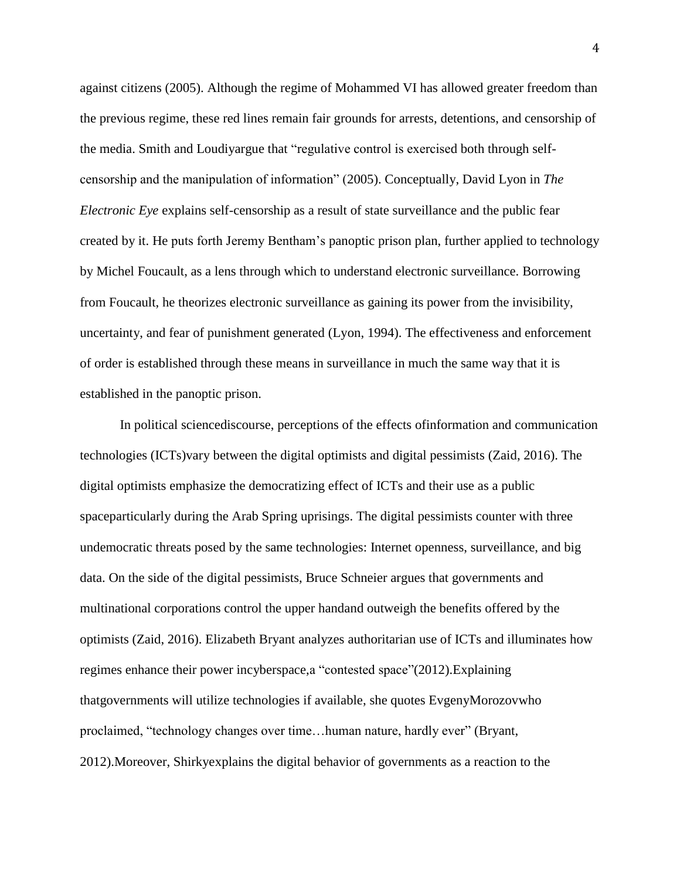against citizens (2005). Although the regime of Mohammed VI has allowed greater freedom than the previous regime, these red lines remain fair grounds for arrests, detentions, and censorship of the media. Smith and Loudiyargue that "regulative control is exercised both through selfcensorship and the manipulation of information" (2005). Conceptually, David Lyon in *The Electronic Eye* explains self-censorship as a result of state surveillance and the public fear created by it. He puts forth Jeremy Bentham's panoptic prison plan, further applied to technology by Michel Foucault, as a lens through which to understand electronic surveillance. Borrowing from Foucault, he theorizes electronic surveillance as gaining its power from the invisibility, uncertainty, and fear of punishment generated (Lyon, 1994). The effectiveness and enforcement of order is established through these means in surveillance in much the same way that it is established in the panoptic prison.

In political sciencediscourse, perceptions of the effects ofinformation and communication technologies (ICTs)vary between the digital optimists and digital pessimists (Zaid, 2016). The digital optimists emphasize the democratizing effect of ICTs and their use as a public spaceparticularly during the Arab Spring uprisings. The digital pessimists counter with three undemocratic threats posed by the same technologies: Internet openness, surveillance, and big data. On the side of the digital pessimists, Bruce Schneier argues that governments and multinational corporations control the upper handand outweigh the benefits offered by the optimists (Zaid, 2016). Elizabeth Bryant analyzes authoritarian use of ICTs and illuminates how regimes enhance their power incyberspace,a "contested space"(2012).Explaining thatgovernments will utilize technologies if available, she quotes EvgenyMorozovwho proclaimed, "technology changes over time…human nature, hardly ever" (Bryant, 2012).Moreover, Shirkyexplains the digital behavior of governments as a reaction to the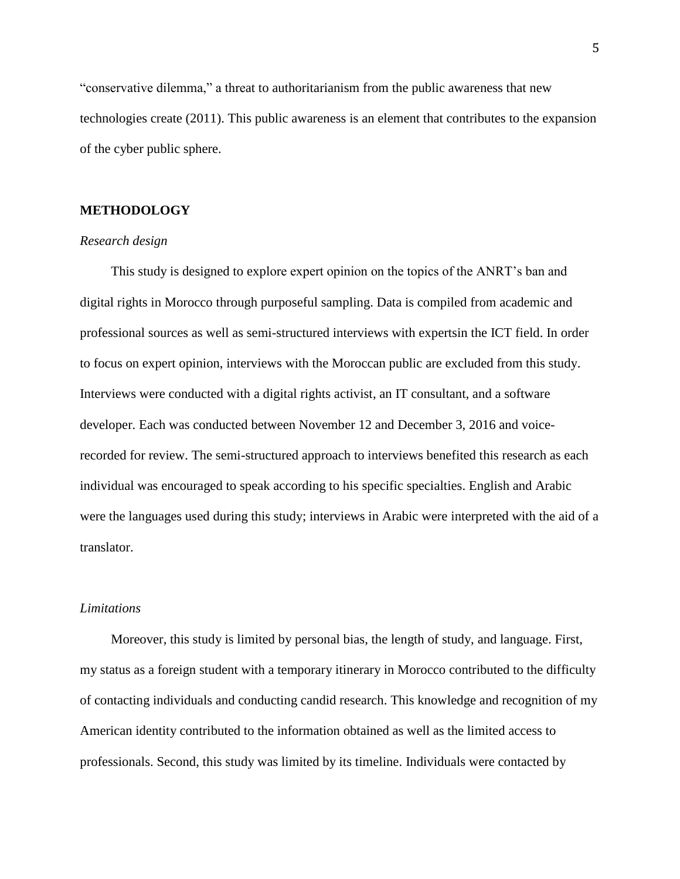"conservative dilemma," a threat to authoritarianism from the public awareness that new technologies create (2011). This public awareness is an element that contributes to the expansion of the cyber public sphere.

## **METHODOLOGY**

#### *Research design*

This study is designed to explore expert opinion on the topics of the ANRT's ban and digital rights in Morocco through purposeful sampling. Data is compiled from academic and professional sources as well as semi-structured interviews with expertsin the ICT field. In order to focus on expert opinion, interviews with the Moroccan public are excluded from this study. Interviews were conducted with a digital rights activist, an IT consultant, and a software developer. Each was conducted between November 12 and December 3, 2016 and voicerecorded for review. The semi-structured approach to interviews benefited this research as each individual was encouraged to speak according to his specific specialties. English and Arabic were the languages used during this study; interviews in Arabic were interpreted with the aid of a translator.

#### *Limitations*

Moreover, this study is limited by personal bias, the length of study, and language. First, my status as a foreign student with a temporary itinerary in Morocco contributed to the difficulty of contacting individuals and conducting candid research. This knowledge and recognition of my American identity contributed to the information obtained as well as the limited access to professionals. Second, this study was limited by its timeline. Individuals were contacted by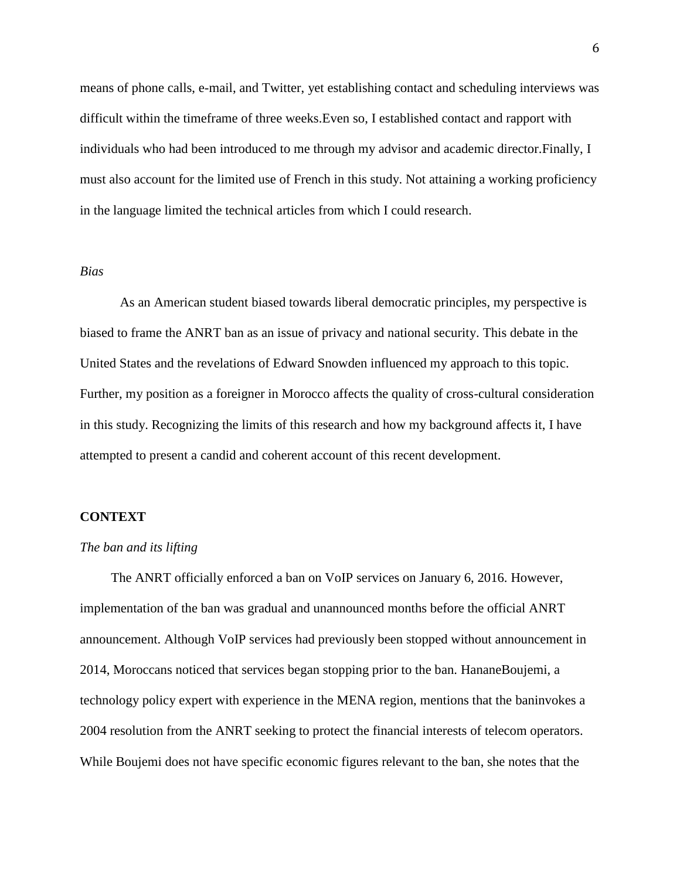means of phone calls, e-mail, and Twitter, yet establishing contact and scheduling interviews was difficult within the timeframe of three weeks.Even so, I established contact and rapport with individuals who had been introduced to me through my advisor and academic director.Finally, I must also account for the limited use of French in this study. Not attaining a working proficiency in the language limited the technical articles from which I could research.

#### *Bias*

As an American student biased towards liberal democratic principles, my perspective is biased to frame the ANRT ban as an issue of privacy and national security. This debate in the United States and the revelations of Edward Snowden influenced my approach to this topic. Further, my position as a foreigner in Morocco affects the quality of cross-cultural consideration in this study. Recognizing the limits of this research and how my background affects it, I have attempted to present a candid and coherent account of this recent development.

### **CONTEXT**

#### *The ban and its lifting*

The ANRT officially enforced a ban on VoIP services on January 6, 2016. However, implementation of the ban was gradual and unannounced months before the official ANRT announcement. Although VoIP services had previously been stopped without announcement in 2014, Moroccans noticed that services began stopping prior to the ban. HananeBoujemi, a technology policy expert with experience in the MENA region, mentions that the baninvokes a 2004 resolution from the ANRT seeking to protect the financial interests of telecom operators. While Boujemi does not have specific economic figures relevant to the ban, she notes that the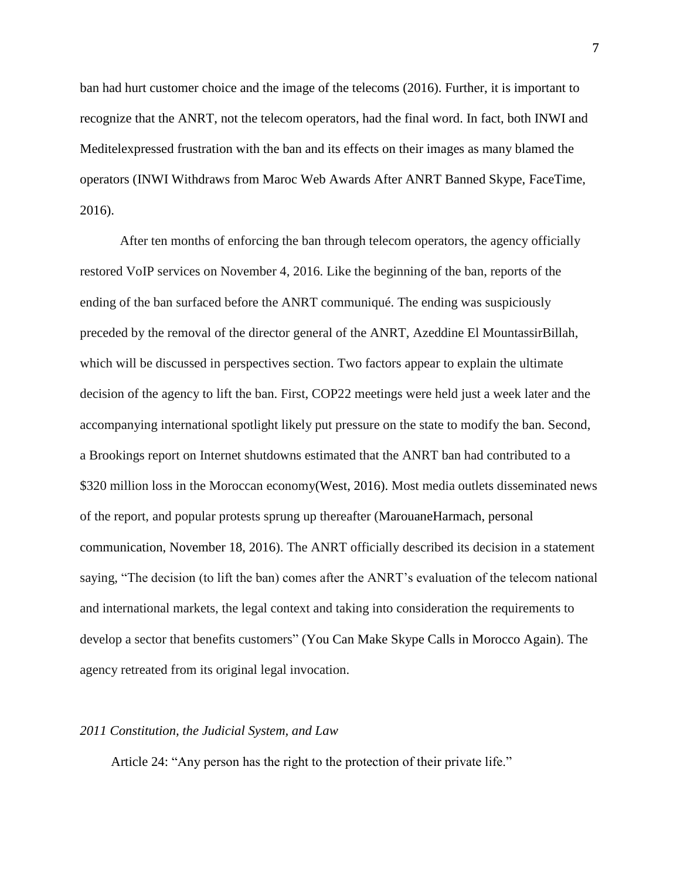ban had hurt customer choice and the image of the telecoms (2016). Further, it is important to recognize that the ANRT, not the telecom operators, had the final word. In fact, both INWI and Meditelexpressed frustration with the ban and its effects on their images as many blamed the operators (INWI Withdraws from Maroc Web Awards After ANRT Banned Skype, FaceTime, 2016).

After ten months of enforcing the ban through telecom operators, the agency officially restored VoIP services on November 4, 2016. Like the beginning of the ban, reports of the ending of the ban surfaced before the ANRT communiqué. The ending was suspiciously preceded by the removal of the director general of the ANRT, Azeddine El MountassirBillah, which will be discussed in perspectives section. Two factors appear to explain the ultimate decision of the agency to lift the ban. First, COP22 meetings were held just a week later and the accompanying international spotlight likely put pressure on the state to modify the ban. Second, a Brookings report on Internet shutdowns estimated that the ANRT ban had contributed to a \$320 million loss in the Moroccan economy(West, 2016). Most media outlets disseminated news of the report, and popular protests sprung up thereafter (MarouaneHarmach, personal communication, November 18, 2016). The ANRT officially described its decision in a statement saying, "The decision (to lift the ban) comes after the ANRT's evaluation of the telecom national and international markets, the legal context and taking into consideration the requirements to develop a sector that benefits customers" (You Can Make Skype Calls in Morocco Again). The agency retreated from its original legal invocation.

#### *2011 Constitution, the Judicial System, and Law*

Article 24: "Any person has the right to the protection of their private life."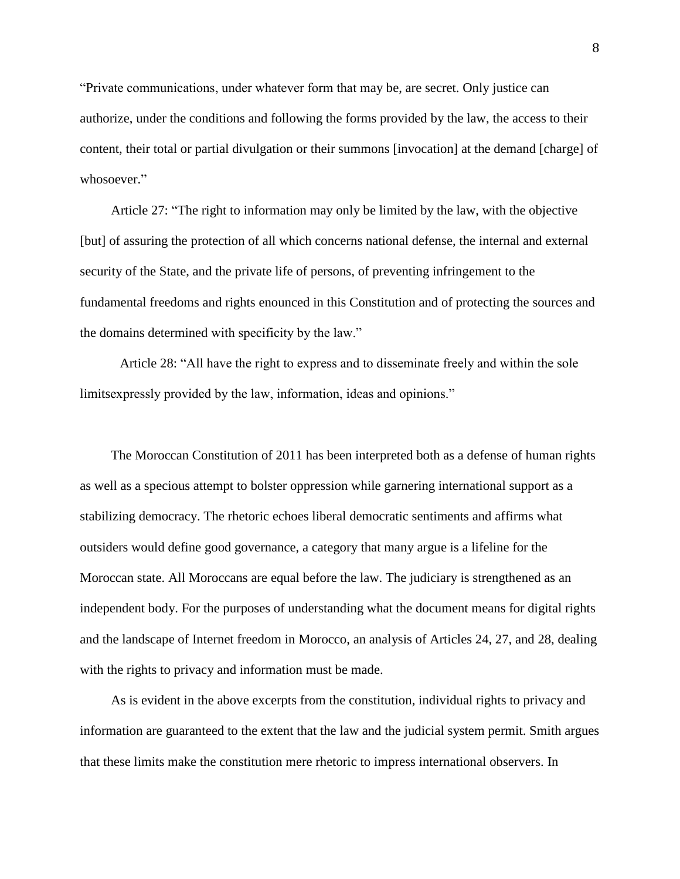"Private communications, under whatever form that may be, are secret. Only justice can authorize, under the conditions and following the forms provided by the law, the access to their content, their total or partial divulgation or their summons [invocation] at the demand [charge] of whosoever."

Article 27: "The right to information may only be limited by the law, with the objective [but] of assuring the protection of all which concerns national defense, the internal and external security of the State, and the private life of persons, of preventing infringement to the fundamental freedoms and rights enounced in this Constitution and of protecting the sources and the domains determined with specificity by the law."

Article 28: "All have the right to express and to disseminate freely and within the sole limitsexpressly provided by the law, information, ideas and opinions."

The Moroccan Constitution of 2011 has been interpreted both as a defense of human rights as well as a specious attempt to bolster oppression while garnering international support as a stabilizing democracy. The rhetoric echoes liberal democratic sentiments and affirms what outsiders would define good governance, a category that many argue is a lifeline for the Moroccan state. All Moroccans are equal before the law. The judiciary is strengthened as an independent body. For the purposes of understanding what the document means for digital rights and the landscape of Internet freedom in Morocco, an analysis of Articles 24, 27, and 28, dealing with the rights to privacy and information must be made.

As is evident in the above excerpts from the constitution, individual rights to privacy and information are guaranteed to the extent that the law and the judicial system permit. Smith argues that these limits make the constitution mere rhetoric to impress international observers. In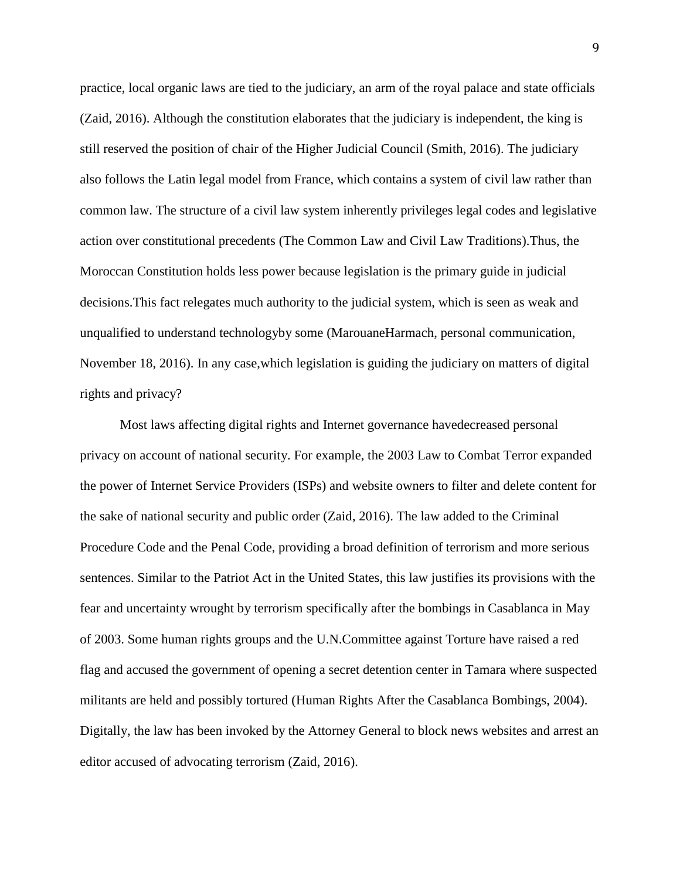practice, local organic laws are tied to the judiciary, an arm of the royal palace and state officials (Zaid, 2016). Although the constitution elaborates that the judiciary is independent, the king is still reserved the position of chair of the Higher Judicial Council (Smith, 2016). The judiciary also follows the Latin legal model from France, which contains a system of civil law rather than common law. The structure of a civil law system inherently privileges legal codes and legislative action over constitutional precedents (The Common Law and Civil Law Traditions).Thus, the Moroccan Constitution holds less power because legislation is the primary guide in judicial decisions.This fact relegates much authority to the judicial system, which is seen as weak and unqualified to understand technologyby some (MarouaneHarmach, personal communication, November 18, 2016). In any case,which legislation is guiding the judiciary on matters of digital rights and privacy?

Most laws affecting digital rights and Internet governance havedecreased personal privacy on account of national security. For example, the 2003 Law to Combat Terror expanded the power of Internet Service Providers (ISPs) and website owners to filter and delete content for the sake of national security and public order (Zaid, 2016). The law added to the Criminal Procedure Code and the Penal Code, providing a broad definition of terrorism and more serious sentences. Similar to the Patriot Act in the United States, this law justifies its provisions with the fear and uncertainty wrought by terrorism specifically after the bombings in Casablanca in May of 2003. Some human rights groups and the U.N.Committee against Torture have raised a red flag and accused the government of opening a secret detention center in Tamara where suspected militants are held and possibly tortured (Human Rights After the Casablanca Bombings, 2004). Digitally, the law has been invoked by the Attorney General to block news websites and arrest an editor accused of advocating terrorism (Zaid, 2016).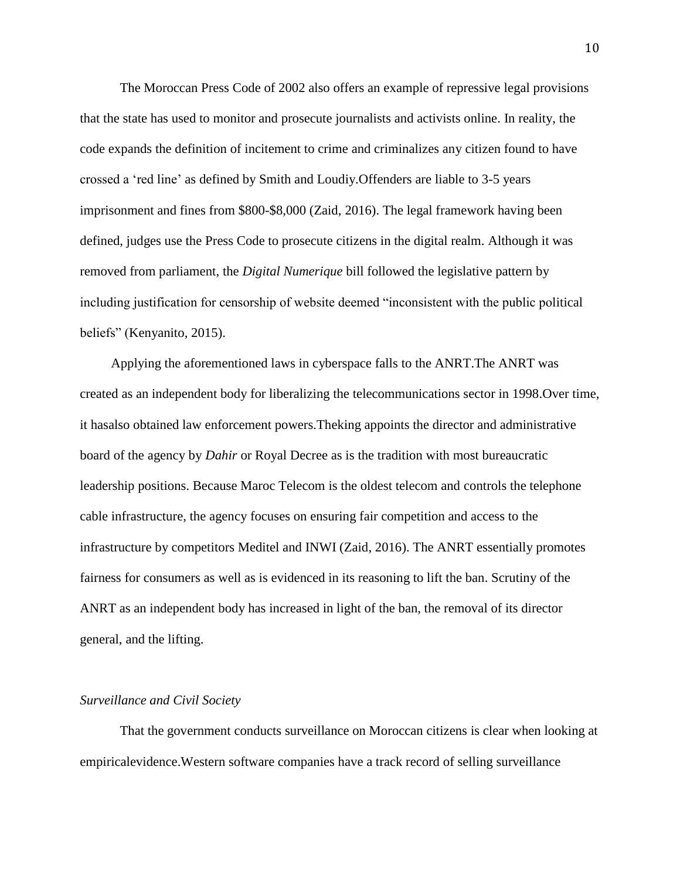The Moroccan Press Code of 2002 also offers an example of repressive legal provisions that the state has used to monitor and prosecute journalists and activists online. In reality, the code expands the definition of incitement to crime and criminalizes any citizen found to have crossed a 'red line' as defined by Smith and Loudiy.Offenders are liable to 3-5 years imprisonment and fines from \$800-\$8,000 (Zaid, 2016). The legal framework having been defined, judges use the Press Code to prosecute citizens in the digital realm. Although it was removed from parliament, the *Digital Numerique* bill followed the legislative pattern by including justification for censorship of website deemed "inconsistent with the public political beliefs" (Kenyanito, 2015).

Applying the aforementioned laws in cyberspace falls to the ANRT.The ANRT was created as an independent body for liberalizing the telecommunications sector in 1998.Over time, it hasalso obtained law enforcement powers.Theking appoints the director and administrative board of the agency by *Dahir* or Royal Decree as is the tradition with most bureaucratic leadership positions. Because Maroc Telecom is the oldest telecom and controls the telephone cable infrastructure, the agency focuses on ensuring fair competition and access to the infrastructure by competitors Meditel and INWI (Zaid, 2016). The ANRT essentially promotes fairness for consumers as well as is evidenced in its reasoning to lift the ban. Scrutiny of the ANRT as an independent body has increased in light of the ban, the removal of its director general, and the lifting.

#### *Surveillance and Civil Society*

That the government conducts surveillance on Moroccan citizens is clear when looking at empiricalevidence.Western software companies have a track record of selling surveillance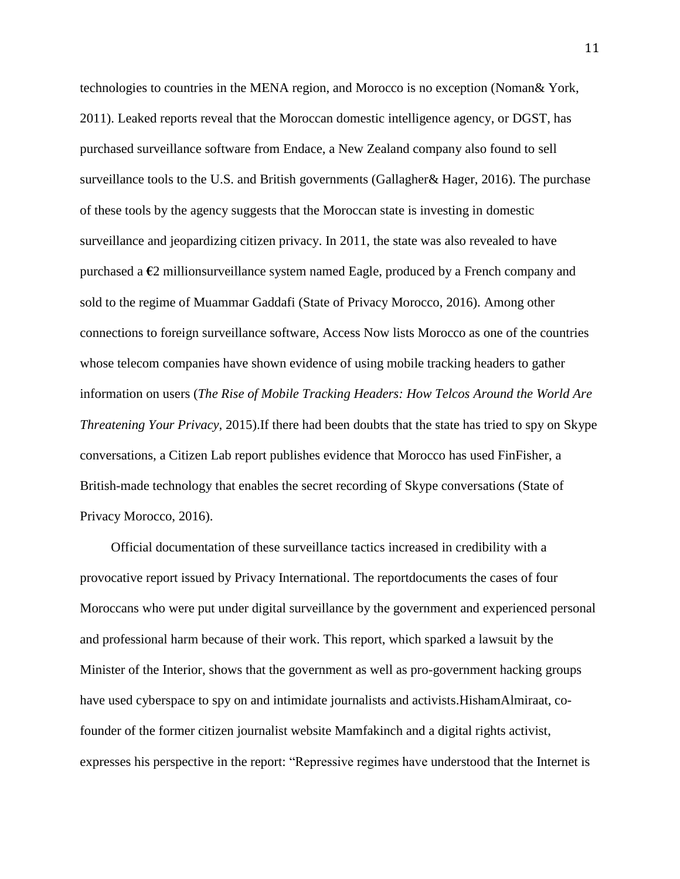technologies to countries in the MENA region, and Morocco is no exception (Noman& York, 2011). Leaked reports reveal that the Moroccan domestic intelligence agency, or DGST, has purchased surveillance software from Endace, a New Zealand company also found to sell surveillance tools to the U.S. and British governments (Gallagher& Hager, 2016). The purchase of these tools by the agency suggests that the Moroccan state is investing in domestic surveillance and jeopardizing citizen privacy. In 2011, the state was also revealed to have purchased a **€**2 millionsurveillance system named Eagle, produced by a French company and sold to the regime of Muammar Gaddafi (State of Privacy Morocco, 2016). Among other connections to foreign surveillance software, Access Now lists Morocco as one of the countries whose telecom companies have shown evidence of using mobile tracking headers to gather information on users (*The Rise of Mobile Tracking Headers: How Telcos Around the World Are Threatening Your Privacy*, 2015).If there had been doubts that the state has tried to spy on Skype conversations, a Citizen Lab report publishes evidence that Morocco has used FinFisher, a British-made technology that enables the secret recording of Skype conversations (State of Privacy Morocco, 2016).

Official documentation of these surveillance tactics increased in credibility with a provocative report issued by Privacy International. The reportdocuments the cases of four Moroccans who were put under digital surveillance by the government and experienced personal and professional harm because of their work. This report, which sparked a lawsuit by the Minister of the Interior, shows that the government as well as pro-government hacking groups have used cyberspace to spy on and intimidate journalists and activists.HishamAlmiraat, cofounder of the former citizen journalist website Mamfakinch and a digital rights activist, expresses his perspective in the report: "Repressive regimes have understood that the Internet is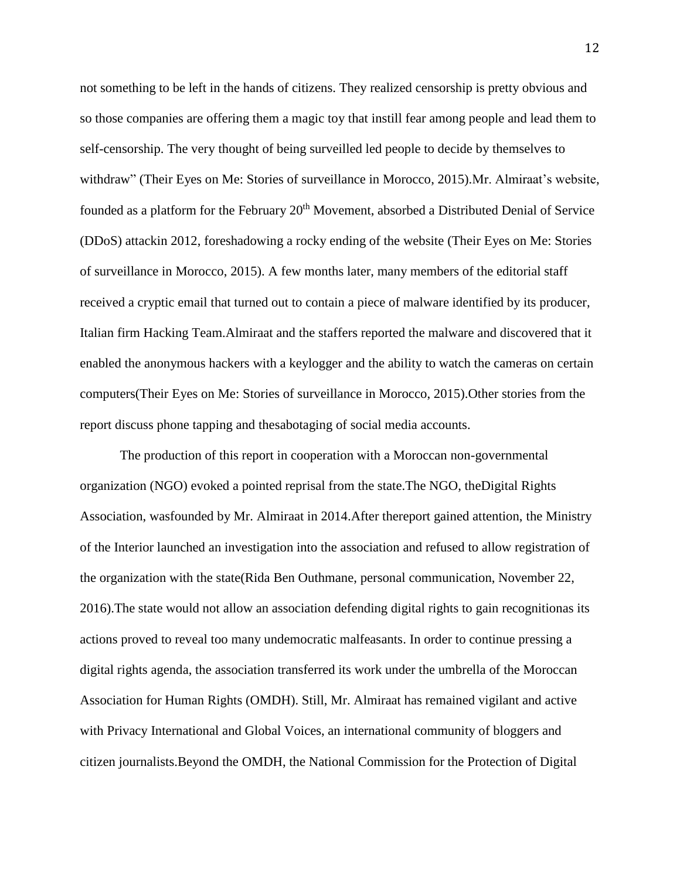not something to be left in the hands of citizens. They realized censorship is pretty obvious and so those companies are offering them a magic toy that instill fear among people and lead them to self-censorship. The very thought of being surveilled led people to decide by themselves to withdraw" (Their Eyes on Me: Stories of surveillance in Morocco, 2015).Mr. Almiraat's website, founded as a platform for the February 20<sup>th</sup> Movement, absorbed a Distributed Denial of Service (DDoS) attackin 2012, foreshadowing a rocky ending of the website (Their Eyes on Me: Stories of surveillance in Morocco, 2015). A few months later, many members of the editorial staff received a cryptic email that turned out to contain a piece of malware identified by its producer, Italian firm Hacking Team.Almiraat and the staffers reported the malware and discovered that it enabled the anonymous hackers with a keylogger and the ability to watch the cameras on certain computers(Their Eyes on Me: Stories of surveillance in Morocco, 2015).Other stories from the report discuss phone tapping and thesabotaging of social media accounts.

The production of this report in cooperation with a Moroccan non-governmental organization (NGO) evoked a pointed reprisal from the state.The NGO, theDigital Rights Association, wasfounded by Mr. Almiraat in 2014.After thereport gained attention, the Ministry of the Interior launched an investigation into the association and refused to allow registration of the organization with the state(Rida Ben Outhmane, personal communication, November 22, 2016).The state would not allow an association defending digital rights to gain recognitionas its actions proved to reveal too many undemocratic malfeasants. In order to continue pressing a digital rights agenda, the association transferred its work under the umbrella of the Moroccan Association for Human Rights (OMDH). Still, Mr. Almiraat has remained vigilant and active with Privacy International and Global Voices, an international community of bloggers and citizen journalists.Beyond the OMDH, the National Commission for the Protection of Digital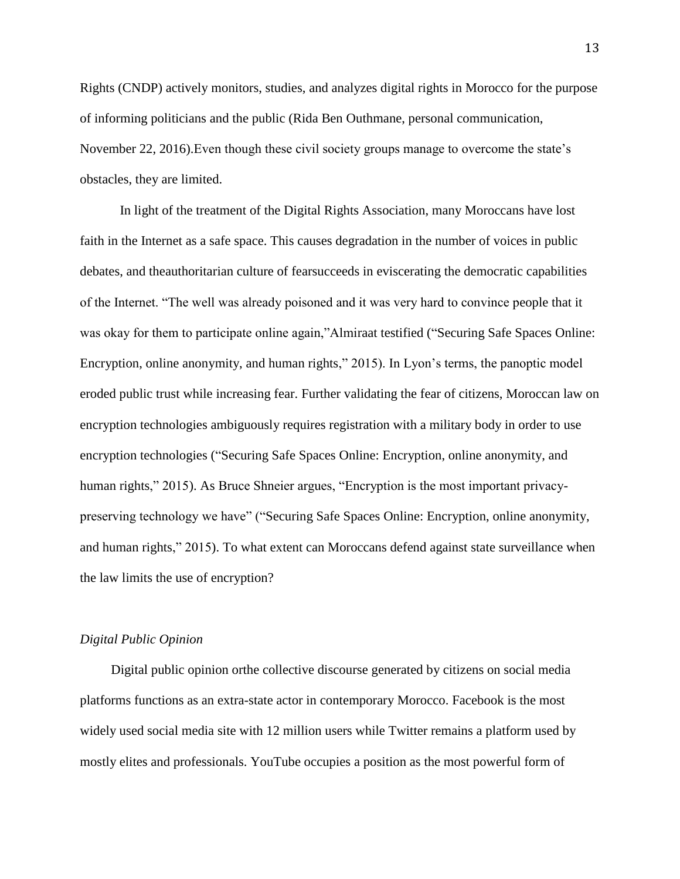Rights (CNDP) actively monitors, studies, and analyzes digital rights in Morocco for the purpose of informing politicians and the public (Rida Ben Outhmane, personal communication, November 22, 2016).Even though these civil society groups manage to overcome the state's obstacles, they are limited.

In light of the treatment of the Digital Rights Association, many Moroccans have lost faith in the Internet as a safe space. This causes degradation in the number of voices in public debates, and theauthoritarian culture of fearsucceeds in eviscerating the democratic capabilities of the Internet. "The well was already poisoned and it was very hard to convince people that it was okay for them to participate online again,"Almiraat testified ("Securing Safe Spaces Online: Encryption, online anonymity, and human rights," 2015). In Lyon's terms, the panoptic model eroded public trust while increasing fear. Further validating the fear of citizens, Moroccan law on encryption technologies ambiguously requires registration with a military body in order to use encryption technologies ("Securing Safe Spaces Online: Encryption, online anonymity, and human rights," 2015). As Bruce Shneier argues, "Encryption is the most important privacypreserving technology we have" ("Securing Safe Spaces Online: Encryption, online anonymity, and human rights," 2015). To what extent can Moroccans defend against state surveillance when the law limits the use of encryption?

#### *Digital Public Opinion*

Digital public opinion orthe collective discourse generated by citizens on social media platforms functions as an extra-state actor in contemporary Morocco. Facebook is the most widely used social media site with 12 million users while Twitter remains a platform used by mostly elites and professionals. YouTube occupies a position as the most powerful form of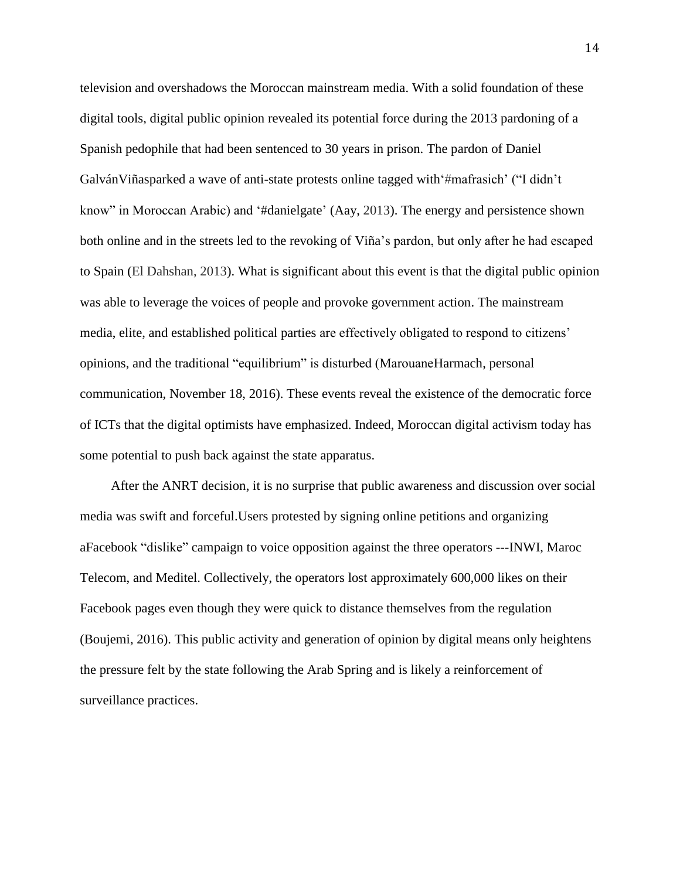television and overshadows the Moroccan mainstream media. With a solid foundation of these digital tools, digital public opinion revealed its potential force during the 2013 pardoning of a Spanish pedophile that had been sentenced to 30 years in prison. The pardon of Daniel GalvánViñasparked a wave of anti-state protests online tagged with'#mafrasich' ("I didn't know" in Moroccan Arabic) and '#danielgate' (Aay, 2013). The energy and persistence shown both online and in the streets led to the revoking of Viña's pardon, but only after he had escaped to Spain (El Dahshan, 2013). What is significant about this event is that the digital public opinion was able to leverage the voices of people and provoke government action. The mainstream media, elite, and established political parties are effectively obligated to respond to citizens' opinions, and the traditional "equilibrium" is disturbed (MarouaneHarmach, personal communication, November 18, 2016). These events reveal the existence of the democratic force of ICTs that the digital optimists have emphasized. Indeed, Moroccan digital activism today has some potential to push back against the state apparatus.

After the ANRT decision, it is no surprise that public awareness and discussion over social media was swift and forceful.Users protested by signing online petitions and organizing aFacebook "dislike" campaign to voice opposition against the three operators ---INWI, Maroc Telecom, and Meditel. Collectively, the operators lost approximately 600,000 likes on their Facebook pages even though they were quick to distance themselves from the regulation (Boujemi, 2016). This public activity and generation of opinion by digital means only heightens the pressure felt by the state following the Arab Spring and is likely a reinforcement of surveillance practices.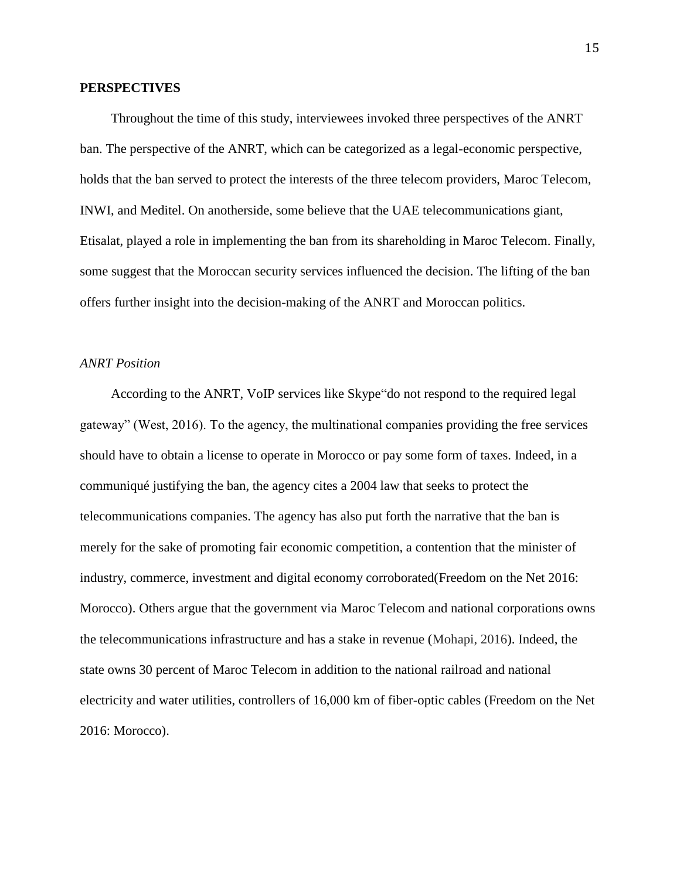#### **PERSPECTIVES**

Throughout the time of this study, interviewees invoked three perspectives of the ANRT ban. The perspective of the ANRT, which can be categorized as a legal-economic perspective, holds that the ban served to protect the interests of the three telecom providers, Maroc Telecom, INWI, and Meditel. On anotherside, some believe that the UAE telecommunications giant, Etisalat, played a role in implementing the ban from its shareholding in Maroc Telecom. Finally, some suggest that the Moroccan security services influenced the decision. The lifting of the ban offers further insight into the decision-making of the ANRT and Moroccan politics.

### *ANRT Position*

According to the ANRT, VoIP services like Skype"do not respond to the required legal gateway" (West, 2016). To the agency, the multinational companies providing the free services should have to obtain a license to operate in Morocco or pay some form of taxes. Indeed, in a communiqué justifying the ban, the agency cites a 2004 law that seeks to protect the telecommunications companies. The agency has also put forth the narrative that the ban is merely for the sake of promoting fair economic competition, a contention that the minister of industry, commerce, investment and digital economy corroborated(Freedom on the Net 2016: Morocco). Others argue that the government via Maroc Telecom and national corporations owns the telecommunications infrastructure and has a stake in revenue (Mohapi, 2016). Indeed, the state owns 30 percent of Maroc Telecom in addition to the national railroad and national electricity and water utilities, controllers of 16,000 km of fiber-optic cables (Freedom on the Net 2016: Morocco).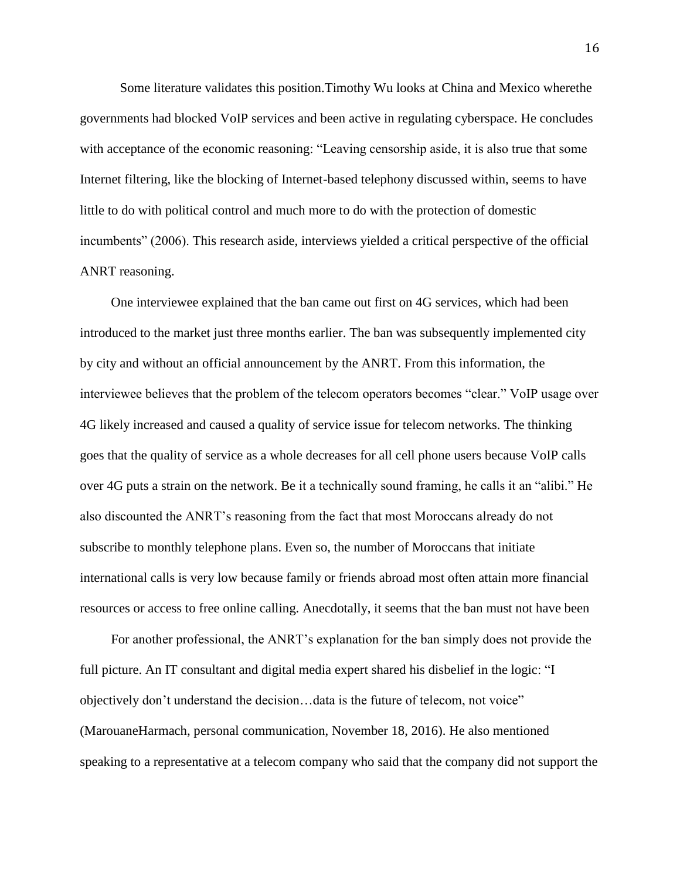Some literature validates this position.Timothy Wu looks at China and Mexico wherethe governments had blocked VoIP services and been active in regulating cyberspace. He concludes with acceptance of the economic reasoning: "Leaving censorship aside, it is also true that some Internet filtering, like the blocking of Internet-based telephony discussed within, seems to have little to do with political control and much more to do with the protection of domestic incumbents" (2006). This research aside, interviews yielded a critical perspective of the official ANRT reasoning.

One interviewee explained that the ban came out first on 4G services, which had been introduced to the market just three months earlier. The ban was subsequently implemented city by city and without an official announcement by the ANRT. From this information, the interviewee believes that the problem of the telecom operators becomes "clear." VoIP usage over 4G likely increased and caused a quality of service issue for telecom networks. The thinking goes that the quality of service as a whole decreases for all cell phone users because VoIP calls over 4G puts a strain on the network. Be it a technically sound framing, he calls it an "alibi." He also discounted the ANRT's reasoning from the fact that most Moroccans already do not subscribe to monthly telephone plans. Even so, the number of Moroccans that initiate international calls is very low because family or friends abroad most often attain more financial resources or access to free online calling. Anecdotally, it seems that the ban must not have been

For another professional, the ANRT's explanation for the ban simply does not provide the full picture. An IT consultant and digital media expert shared his disbelief in the logic: "I objectively don't understand the decision…data is the future of telecom, not voice" (MarouaneHarmach, personal communication, November 18, 2016). He also mentioned speaking to a representative at a telecom company who said that the company did not support the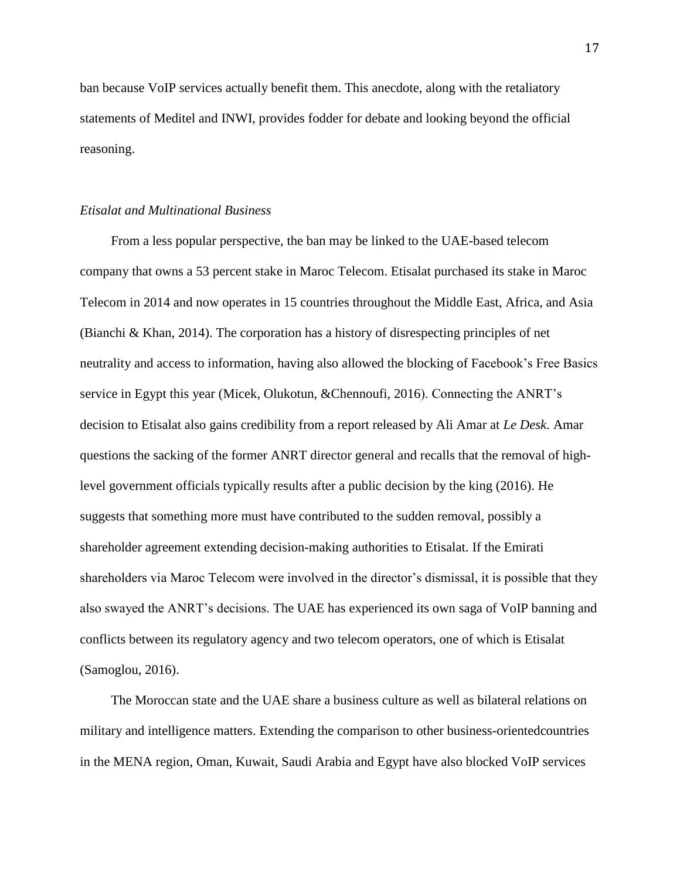ban because VoIP services actually benefit them. This anecdote, along with the retaliatory statements of Meditel and INWI, provides fodder for debate and looking beyond the official reasoning.

### *Etisalat and Multinational Business*

From a less popular perspective, the ban may be linked to the UAE-based telecom company that owns a 53 percent stake in Maroc Telecom. Etisalat purchased its stake in Maroc Telecom in 2014 and now operates in 15 countries throughout the Middle East, Africa, and Asia (Bianchi & Khan, 2014). The corporation has a history of disrespecting principles of net neutrality and access to information, having also allowed the blocking of Facebook's Free Basics service in Egypt this year (Micek, Olukotun, &Chennoufi, 2016). Connecting the ANRT's decision to Etisalat also gains credibility from a report released by Ali Amar at *Le Desk*. Amar questions the sacking of the former ANRT director general and recalls that the removal of highlevel government officials typically results after a public decision by the king (2016). He suggests that something more must have contributed to the sudden removal, possibly a shareholder agreement extending decision-making authorities to Etisalat. If the Emirati shareholders via Maroc Telecom were involved in the director's dismissal, it is possible that they also swayed the ANRT's decisions. The UAE has experienced its own saga of VoIP banning and conflicts between its regulatory agency and two telecom operators, one of which is Etisalat (Samoglou, 2016).

The Moroccan state and the UAE share a business culture as well as bilateral relations on military and intelligence matters. Extending the comparison to other business-orientedcountries in the MENA region, Oman, Kuwait, Saudi Arabia and Egypt have also blocked VoIP services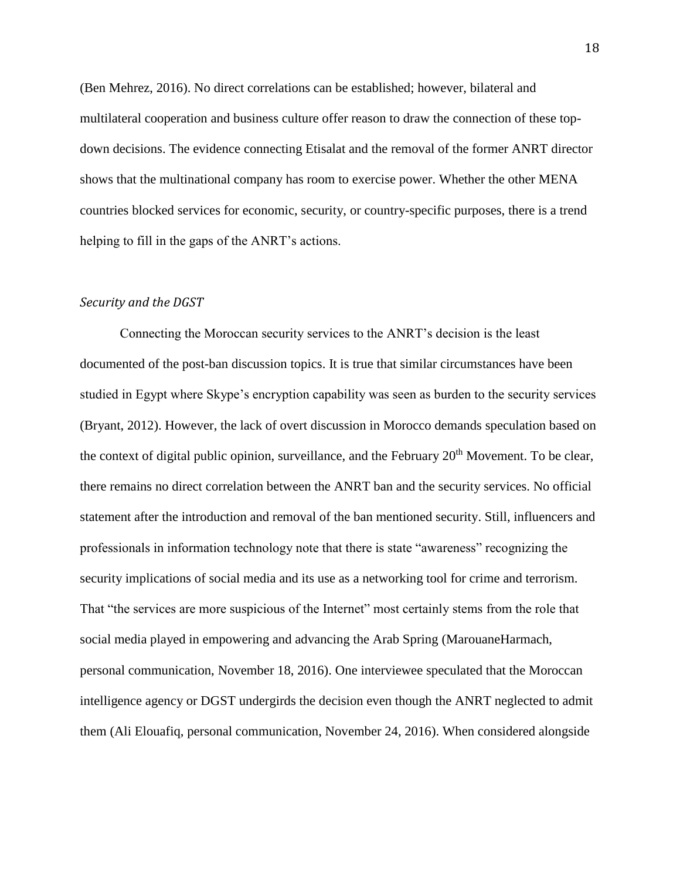(Ben Mehrez, 2016). No direct correlations can be established; however, bilateral and multilateral cooperation and business culture offer reason to draw the connection of these topdown decisions. The evidence connecting Etisalat and the removal of the former ANRT director shows that the multinational company has room to exercise power. Whether the other MENA countries blocked services for economic, security, or country-specific purposes, there is a trend helping to fill in the gaps of the ANRT's actions.

#### *Security and the DGST*

Connecting the Moroccan security services to the ANRT's decision is the least documented of the post-ban discussion topics. It is true that similar circumstances have been studied in Egypt where Skype's encryption capability was seen as burden to the security services (Bryant, 2012). However, the lack of overt discussion in Morocco demands speculation based on the context of digital public opinion, surveillance, and the February  $20<sup>th</sup>$  Movement. To be clear, there remains no direct correlation between the ANRT ban and the security services. No official statement after the introduction and removal of the ban mentioned security. Still, influencers and professionals in information technology note that there is state "awareness" recognizing the security implications of social media and its use as a networking tool for crime and terrorism. That "the services are more suspicious of the Internet" most certainly stems from the role that social media played in empowering and advancing the Arab Spring (MarouaneHarmach, personal communication, November 18, 2016). One interviewee speculated that the Moroccan intelligence agency or DGST undergirds the decision even though the ANRT neglected to admit them (Ali Elouafiq, personal communication, November 24, 2016). When considered alongside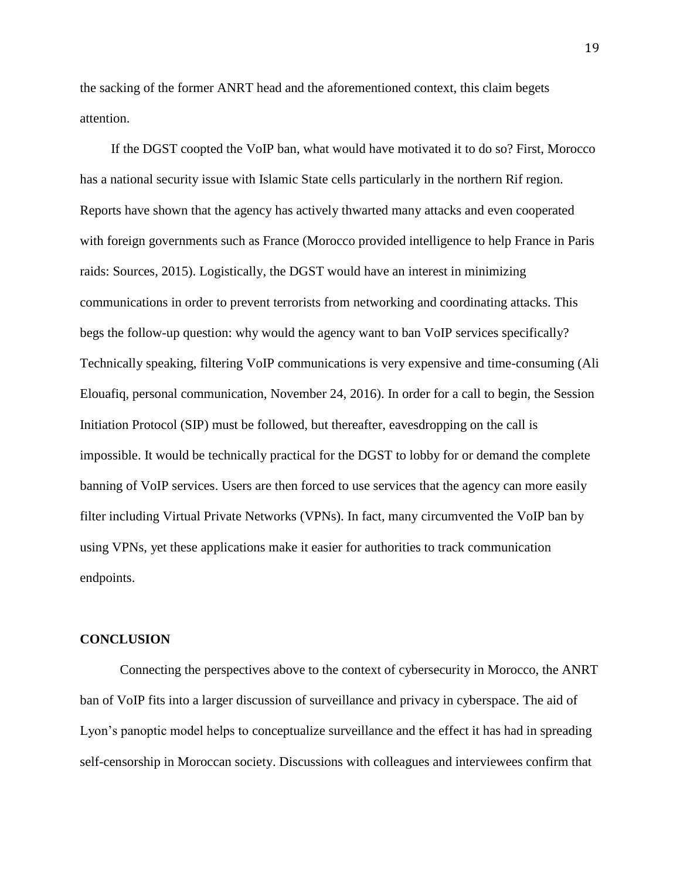the sacking of the former ANRT head and the aforementioned context, this claim begets attention.

If the DGST coopted the VoIP ban, what would have motivated it to do so? First, Morocco has a national security issue with Islamic State cells particularly in the northern Rif region. Reports have shown that the agency has actively thwarted many attacks and even cooperated with foreign governments such as France (Morocco provided intelligence to help France in Paris raids: Sources, 2015). Logistically, the DGST would have an interest in minimizing communications in order to prevent terrorists from networking and coordinating attacks. This begs the follow-up question: why would the agency want to ban VoIP services specifically? Technically speaking, filtering VoIP communications is very expensive and time-consuming (Ali Elouafiq, personal communication, November 24, 2016). In order for a call to begin, the Session Initiation Protocol (SIP) must be followed, but thereafter, eavesdropping on the call is impossible. It would be technically practical for the DGST to lobby for or demand the complete banning of VoIP services. Users are then forced to use services that the agency can more easily filter including Virtual Private Networks (VPNs). In fact, many circumvented the VoIP ban by using VPNs, yet these applications make it easier for authorities to track communication endpoints.

#### **CONCLUSION**

Connecting the perspectives above to the context of cybersecurity in Morocco, the ANRT ban of VoIP fits into a larger discussion of surveillance and privacy in cyberspace. The aid of Lyon's panoptic model helps to conceptualize surveillance and the effect it has had in spreading self-censorship in Moroccan society. Discussions with colleagues and interviewees confirm that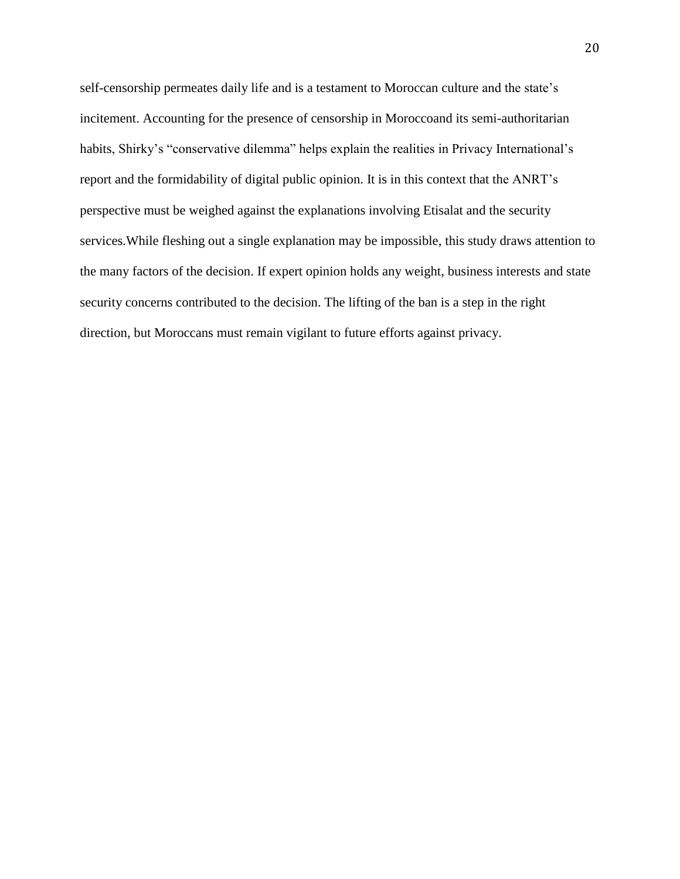self-censorship permeates daily life and is a testament to Moroccan culture and the state's incitement. Accounting for the presence of censorship in Moroccoand its semi-authoritarian habits, Shirky's "conservative dilemma" helps explain the realities in Privacy International's report and the formidability of digital public opinion. It is in this context that the ANRT's perspective must be weighed against the explanations involving Etisalat and the security services.While fleshing out a single explanation may be impossible, this study draws attention to the many factors of the decision. If expert opinion holds any weight, business interests and state security concerns contributed to the decision. The lifting of the ban is a step in the right direction, but Moroccans must remain vigilant to future efforts against privacy.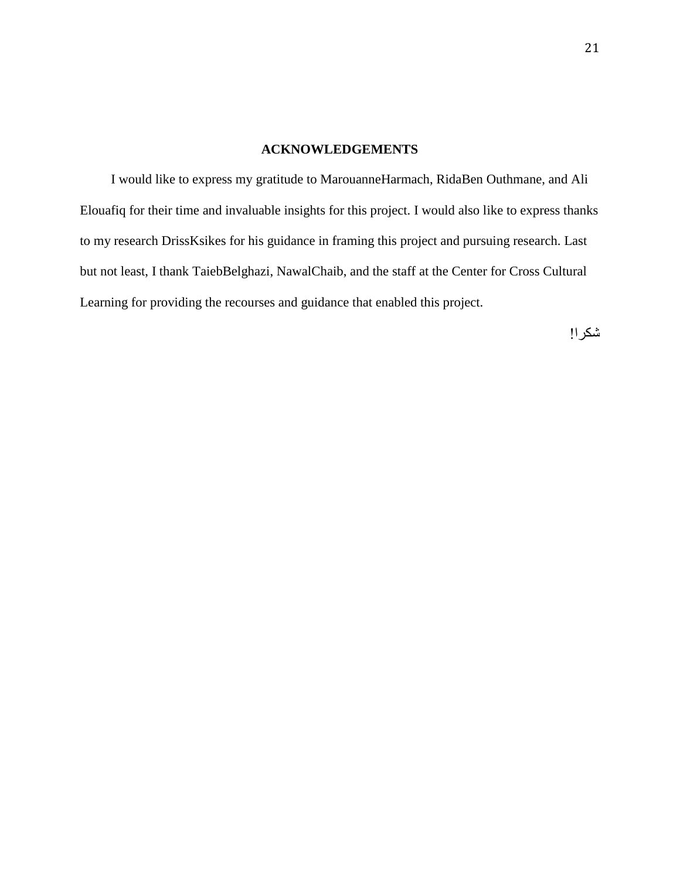## **ACKNOWLEDGEMENTS**

I would like to express my gratitude to MarouanneHarmach, RidaBen Outhmane, and Ali Elouafiq for their time and invaluable insights for this project. I would also like to express thanks to my research DrissKsikes for his guidance in framing this project and pursuing research. Last but not least, I thank TaiebBelghazi, NawalChaib, and the staff at the Center for Cross Cultural Learning for providing the recourses and guidance that enabled this project.

شكرا!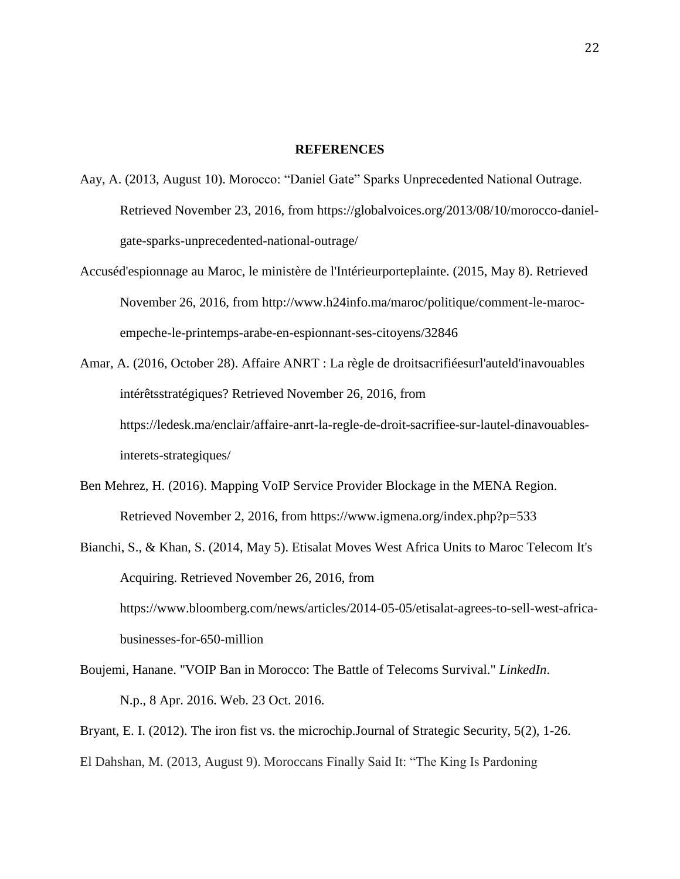#### **REFERENCES**

- Aay, A. (2013, August 10). Morocco: "Daniel Gate" Sparks Unprecedented National Outrage. Retrieved November 23, 2016, from https://globalvoices.org/2013/08/10/morocco-danielgate-sparks-unprecedented-national-outrage/
- Accuséd'espionnage au Maroc, le ministère de l'Intérieurporteplainte. (2015, May 8). Retrieved November 26, 2016, from http://www.h24info.ma/maroc/politique/comment-le-marocempeche-le-printemps-arabe-en-espionnant-ses-citoyens/32846
- Amar, A. (2016, October 28). Affaire ANRT : La règle de droitsacrifiéesurl'auteld'inavouables intérêtsstratégiques? Retrieved November 26, 2016, from https://ledesk.ma/enclair/affaire-anrt-la-regle-de-droit-sacrifiee-sur-lautel-dinavouablesinterets-strategiques/
- Ben Mehrez, H. (2016). Mapping VoIP Service Provider Blockage in the MENA Region. Retrieved November 2, 2016, from https://www.igmena.org/index.php?p=533
- Bianchi, S., & Khan, S. (2014, May 5). Etisalat Moves West Africa Units to Maroc Telecom It's Acquiring. Retrieved November 26, 2016, from https://www.bloomberg.com/news/articles/2014-05-05/etisalat-agrees-to-sell-west-africabusinesses-for-650-million
- Boujemi, Hanane. "VOIP Ban in Morocco: The Battle of Telecoms Survival." *LinkedIn*. N.p., 8 Apr. 2016. Web. 23 Oct. 2016.

Bryant, E. I. (2012). The iron fist vs. the microchip.Journal of Strategic Security, 5(2), 1-26.

El Dahshan, M. (2013, August 9). Moroccans Finally Said It: "The King Is Pardoning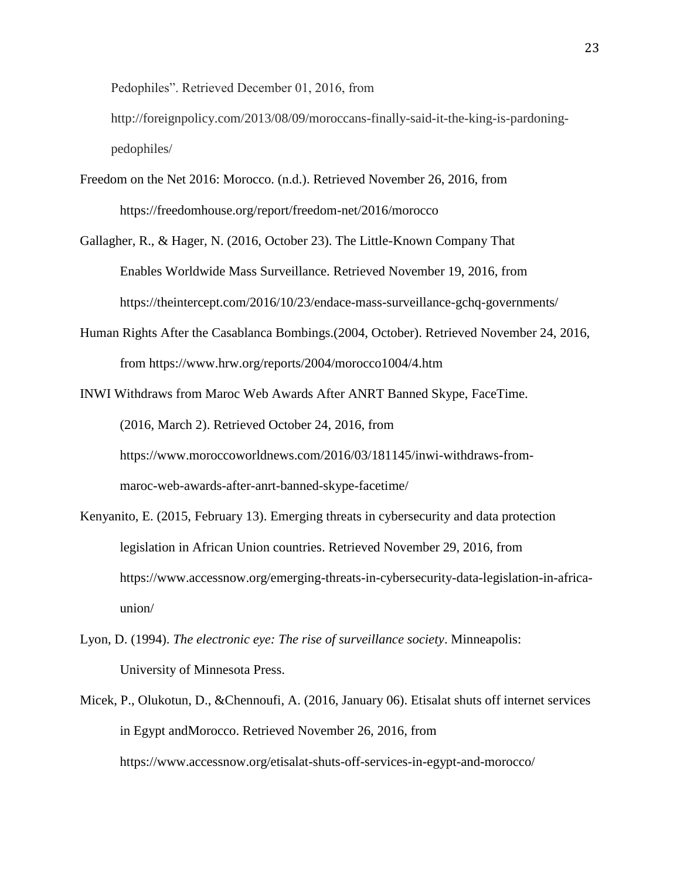Pedophiles". Retrieved December 01, 2016, from

http://foreignpolicy.com/2013/08/09/moroccans-finally-said-it-the-king-is-pardoningpedophiles/

- Freedom on the Net 2016: Morocco. (n.d.). Retrieved November 26, 2016, from https://freedomhouse.org/report/freedom-net/2016/morocco
- Gallagher, R., & Hager, N. (2016, October 23). The Little-Known Company That Enables Worldwide Mass Surveillance. Retrieved November 19, 2016, from https://theintercept.com/2016/10/23/endace-mass-surveillance-gchq-governments/
- Human Rights After the Casablanca Bombings.(2004, October). Retrieved November 24, 2016, from https://www.hrw.org/reports/2004/morocco1004/4.htm
- INWI Withdraws from Maroc Web Awards After ANRT Banned Skype, FaceTime. (2016, March 2). Retrieved October 24, 2016, from https://www.moroccoworldnews.com/2016/03/181145/inwi-withdraws-frommaroc-web-awards-after-anrt-banned-skype-facetime/
- Kenyanito, E. (2015, February 13). Emerging threats in cybersecurity and data protection legislation in African Union countries. Retrieved November 29, 2016, from https://www.accessnow.org/emerging-threats-in-cybersecurity-data-legislation-in-africaunion/
- Lyon, D. (1994). *The electronic eye: The rise of surveillance society*. Minneapolis: University of Minnesota Press.
- Micek, P., Olukotun, D., &Chennoufi, A. (2016, January 06). Etisalat shuts off internet services in Egypt andMorocco. Retrieved November 26, 2016, from https://www.accessnow.org/etisalat-shuts-off-services-in-egypt-and-morocco/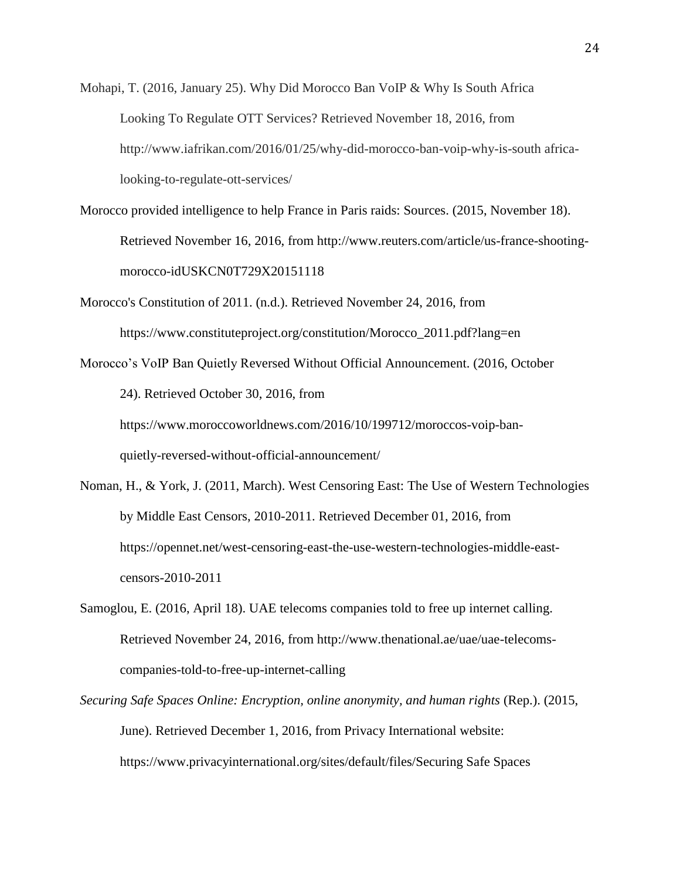Mohapi, T. (2016, January 25). Why Did Morocco Ban VoIP & Why Is South Africa Looking To Regulate OTT Services? Retrieved November 18, 2016, from http://www.iafrikan.com/2016/01/25/why-did-morocco-ban-voip-why-is-south africalooking-to-regulate-ott-services/

- Morocco provided intelligence to help France in Paris raids: Sources. (2015, November 18). Retrieved November 16, 2016, from http://www.reuters.com/article/us-france-shootingmorocco-idUSKCN0T729X20151118
- Morocco's Constitution of 2011. (n.d.). Retrieved November 24, 2016, from https://www.constituteproject.org/constitution/Morocco\_2011.pdf?lang=en

Morocco's VoIP Ban Quietly Reversed Without Official Announcement. (2016, October 24). Retrieved October 30, 2016, from https://www.moroccoworldnews.com/2016/10/199712/moroccos-voip-banquietly-reversed-without-official-announcement/

- Noman, H., & York, J. (2011, March). West Censoring East: The Use of Western Technologies by Middle East Censors, 2010-2011. Retrieved December 01, 2016, from https://opennet.net/west-censoring-east-the-use-western-technologies-middle-eastcensors-2010-2011
- Samoglou, E. (2016, April 18). UAE telecoms companies told to free up internet calling. Retrieved November 24, 2016, from http://www.thenational.ae/uae/uae-telecomscompanies-told-to-free-up-internet-calling
- *Securing Safe Spaces Online: Encryption, online anonymity, and human rights* (Rep.). (2015, June). Retrieved December 1, 2016, from Privacy International website: https://www.privacyinternational.org/sites/default/files/Securing Safe Spaces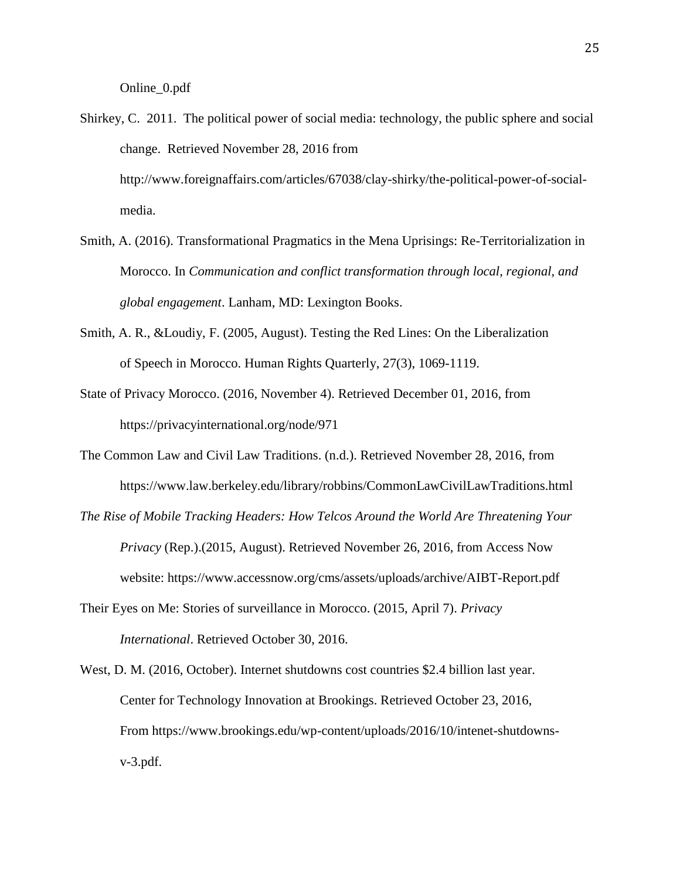- Shirkey, C. 2011. The political power of social media: technology, the public sphere and social change. Retrieved November 28, 2016 from http://www.foreignaffairs.com/articles/67038/clay-shirky/the-political-power-of-socialmedia.
- Smith, A. (2016). Transformational Pragmatics in the Mena Uprisings: Re-Territorialization in Morocco. In *Communication and conflict transformation through local, regional, and global engagement*. Lanham, MD: Lexington Books.
- Smith, A. R., &Loudiy, F. (2005, August). Testing the Red Lines: On the Liberalization of Speech in Morocco. Human Rights Quarterly, 27(3), 1069-1119.
- State of Privacy Morocco. (2016, November 4). Retrieved December 01, 2016, from https://privacyinternational.org/node/971
- The Common Law and Civil Law Traditions. (n.d.). Retrieved November 28, 2016, from https://www.law.berkeley.edu/library/robbins/CommonLawCivilLawTraditions.html
- *The Rise of Mobile Tracking Headers: How Telcos Around the World Are Threatening Your Privacy* (Rep.).(2015, August). Retrieved November 26, 2016, from Access Now website: https://www.accessnow.org/cms/assets/uploads/archive/AIBT-Report.pdf
- Their Eyes on Me: Stories of surveillance in Morocco. (2015, April 7). *Privacy International*. Retrieved October 30, 2016.
- West, D. M. (2016, October). Internet shutdowns cost countries \$2.4 billion last year. Center for Technology Innovation at Brookings. Retrieved October 23, 2016, From https://www.brookings.edu/wp-content/uploads/2016/10/intenet-shutdownsv-3.pdf.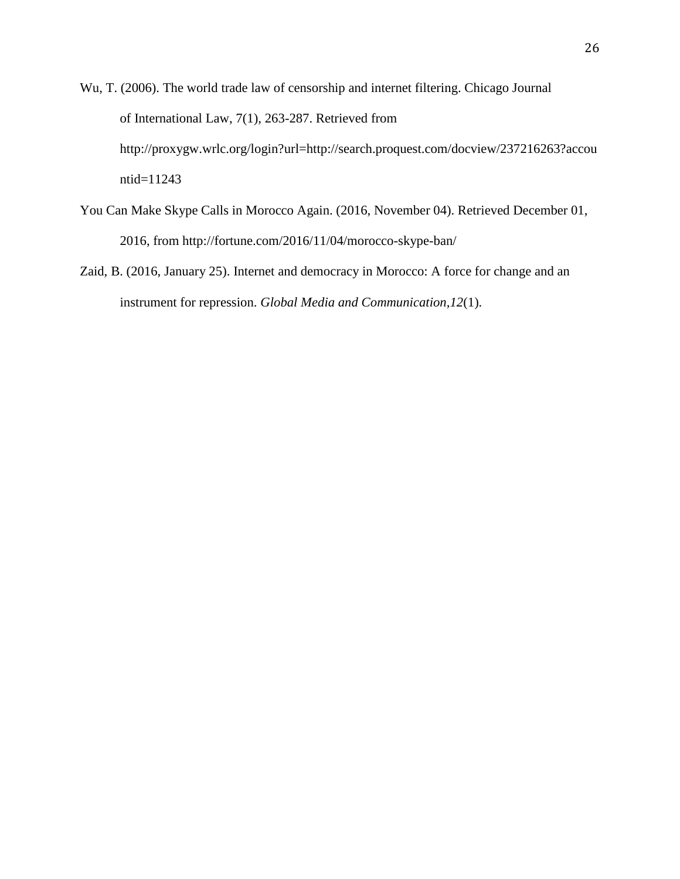- Wu, T. (2006). The world trade law of censorship and internet filtering. Chicago Journal of International Law, 7(1), 263-287. Retrieved from http://proxygw.wrlc.org/login?url=http://search.proquest.com/docview/237216263?accou ntid=11243
- You Can Make Skype Calls in Morocco Again. (2016, November 04). Retrieved December 01, 2016, from http://fortune.com/2016/11/04/morocco-skype-ban/
- Zaid, B. (2016, January 25). Internet and democracy in Morocco: A force for change and an instrument for repression. *Global Media and Communication,12*(1).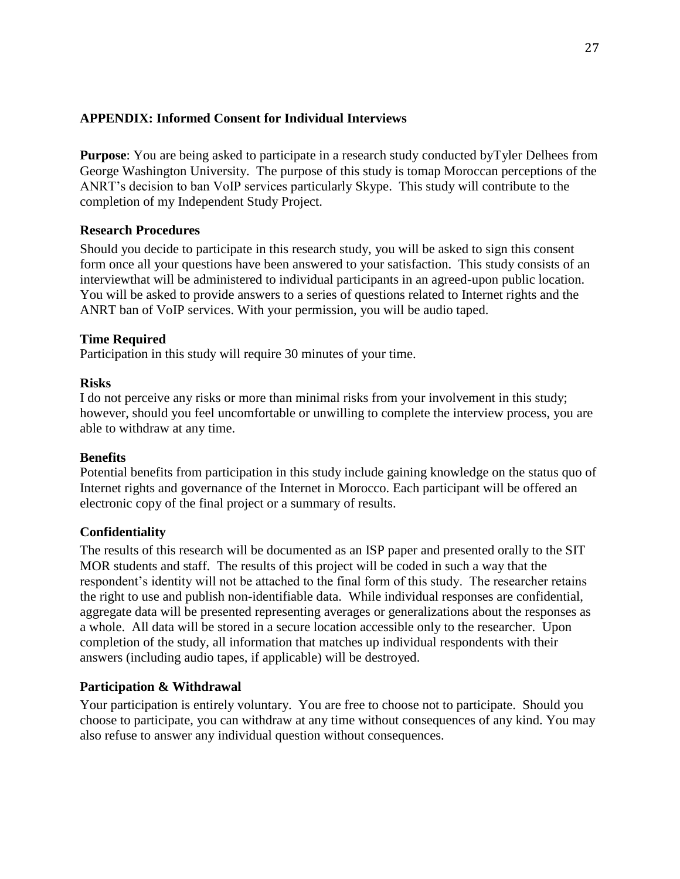## **APPENDIX: Informed Consent for Individual Interviews**

**Purpose**: You are being asked to participate in a research study conducted byTyler Delhees from George Washington University. The purpose of this study is tomap Moroccan perceptions of the ANRT's decision to ban VoIP services particularly Skype. This study will contribute to the completion of my Independent Study Project.

## **Research Procedures**

Should you decide to participate in this research study, you will be asked to sign this consent form once all your questions have been answered to your satisfaction. This study consists of an interviewthat will be administered to individual participants in an agreed-upon public location. You will be asked to provide answers to a series of questions related to Internet rights and the ANRT ban of VoIP services. With your permission, you will be audio taped.

## **Time Required**

Participation in this study will require 30 minutes of your time.

## **Risks**

I do not perceive any risks or more than minimal risks from your involvement in this study; however, should you feel uncomfortable or unwilling to complete the interview process, you are able to withdraw at any time.

### **Benefits**

Potential benefits from participation in this study include gaining knowledge on the status quo of Internet rights and governance of the Internet in Morocco. Each participant will be offered an electronic copy of the final project or a summary of results.

### **Confidentiality**

The results of this research will be documented as an ISP paper and presented orally to the SIT MOR students and staff. The results of this project will be coded in such a way that the respondent's identity will not be attached to the final form of this study. The researcher retains the right to use and publish non-identifiable data. While individual responses are confidential, aggregate data will be presented representing averages or generalizations about the responses as a whole. All data will be stored in a secure location accessible only to the researcher. Upon completion of the study, all information that matches up individual respondents with their answers (including audio tapes, if applicable) will be destroyed.

## **Participation & Withdrawal**

Your participation is entirely voluntary. You are free to choose not to participate. Should you choose to participate, you can withdraw at any time without consequences of any kind. You may also refuse to answer any individual question without consequences.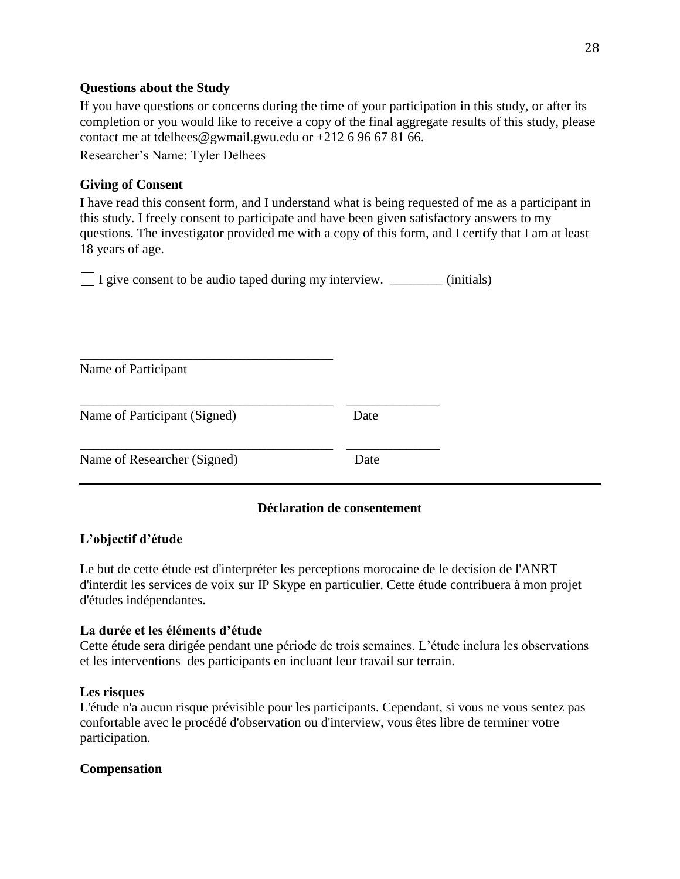## **Questions about the Study**

If you have questions or concerns during the time of your participation in this study, or after its completion or you would like to receive a copy of the final aggregate results of this study, please contact me at tdelhees@gwmail.gwu.edu or +212 6 96 67 81 66.

Researcher's Name: Tyler Delhees

\_\_\_\_\_\_\_\_\_\_\_\_\_\_\_\_\_\_\_\_\_\_\_\_\_\_\_\_\_\_\_\_\_\_\_\_\_\_

# **Giving of Consent**

I have read this consent form, and I understand what is being requested of me as a participant in this study. I freely consent to participate and have been given satisfactory answers to my questions. The investigator provided me with a copy of this form, and I certify that I am at least 18 years of age.

I give consent to be audio taped during my interview. \_\_\_\_\_\_\_\_ (initials)

| Name of Participant          |      |
|------------------------------|------|
| Name of Participant (Signed) | Date |
| Name of Researcher (Signed)  | Date |

# **Déclaration de consentement**

# **L'objectif d'étude**

Le but de cette étude est d'interpréter les perceptions morocaine de le decision de l'ANRT d'interdit les services de voix sur IP Skype en particulier. Cette étude contribuera à mon projet d'études indépendantes.

# **La durée et les éléments d'étude**

Cette étude sera dirigée pendant une période de trois semaines. L'étude inclura les observations et les interventions des participants en incluant leur travail sur terrain.

## **Les risques**

L'étude n'a aucun risque prévisible pour les participants. Cependant, si vous ne vous sentez pas confortable avec le procédé d'observation ou d'interview, vous êtes libre de terminer votre participation.

# **Compensation**